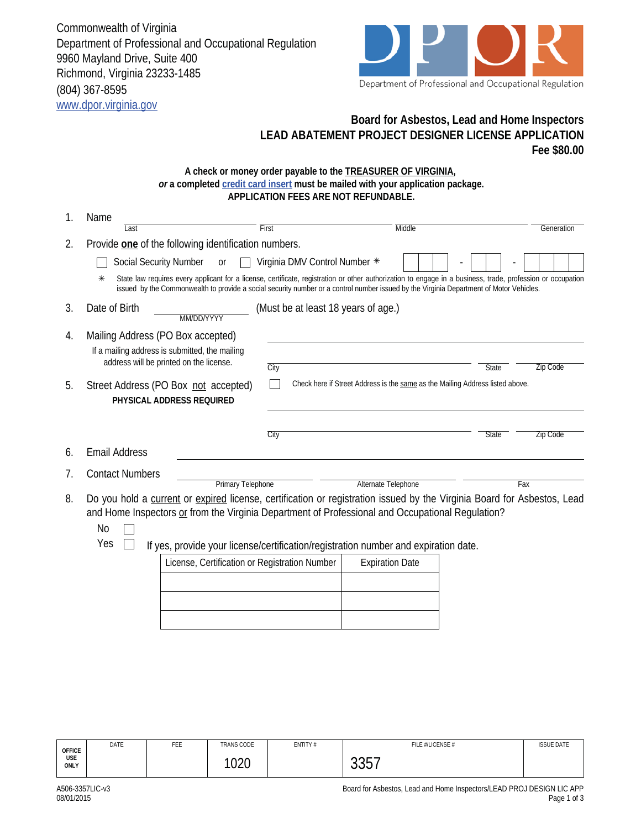Commonwealth of Virginia Department of Professional and Occupational Regulation 9960 Mayland Drive, Suite 400 Richmond, Virginia 23233-1485 (804) 367-8595 www.dpor.virginia.gov



## **Board for Asbestos, Lead and Home Inspectors LEAD ABATEMENT PROJECT DESIGNER LICENSE APPLICATION Fee \$80.00**

## **A check or money order payable to the TREASURER OF VIRGINIA,**  *or* **a completed credit card insert must be mailed with your application package. APPLICATION FEES ARE NOT REFUNDABLE.**

| 1. | Name                                                                                                                                                                                                                                                                                                             |                                     |                                                                               |                                 |  |  |
|----|------------------------------------------------------------------------------------------------------------------------------------------------------------------------------------------------------------------------------------------------------------------------------------------------------------------|-------------------------------------|-------------------------------------------------------------------------------|---------------------------------|--|--|
|    | Last                                                                                                                                                                                                                                                                                                             | First                               | Middle                                                                        | Generation                      |  |  |
| 2. | Provide one of the following identification numbers.                                                                                                                                                                                                                                                             |                                     |                                                                               |                                 |  |  |
|    | <b>Social Security Number</b><br><b>or</b>                                                                                                                                                                                                                                                                       | Virginia DMV Control Number *       |                                                                               |                                 |  |  |
|    | State law requires every applicant for a license, certificate, registration or other authorization to engage in a business, trade, profession or occupation<br>$\ast$<br>issued by the Commonwealth to provide a social security number or a control number issued by the Virginia Department of Motor Vehicles. |                                     |                                                                               |                                 |  |  |
| 3. | Date of Birth<br>MM/DD/YYYY                                                                                                                                                                                                                                                                                      | (Must be at least 18 years of age.) |                                                                               |                                 |  |  |
| 4. | Mailing Address (PO Box accepted)                                                                                                                                                                                                                                                                                |                                     |                                                                               |                                 |  |  |
|    | If a mailing address is submitted, the mailing                                                                                                                                                                                                                                                                   |                                     |                                                                               |                                 |  |  |
|    | address will be printed on the license.                                                                                                                                                                                                                                                                          | City                                |                                                                               | <b>Zip Code</b><br><b>State</b> |  |  |
| 5. | Street Address (PO Box not accepted)                                                                                                                                                                                                                                                                             |                                     | Check here if Street Address is the same as the Mailing Address listed above. |                                 |  |  |
|    | PHYSICAL ADDRESS REQUIRED                                                                                                                                                                                                                                                                                        |                                     |                                                                               |                                 |  |  |
|    |                                                                                                                                                                                                                                                                                                                  |                                     |                                                                               |                                 |  |  |
|    |                                                                                                                                                                                                                                                                                                                  | City                                |                                                                               | <b>State</b><br>Zip Code        |  |  |
| 6. | <b>Email Address</b>                                                                                                                                                                                                                                                                                             |                                     |                                                                               |                                 |  |  |
| 7. | <b>Contact Numbers</b>                                                                                                                                                                                                                                                                                           |                                     |                                                                               |                                 |  |  |
|    | <b>Primary Telephone</b>                                                                                                                                                                                                                                                                                         |                                     | Alternate Telephone                                                           | Fax                             |  |  |
| 8. | Do you hold a current or expired license, certification or registration issued by the Virginia Board for Asbestos, Lead<br>and Home Inspectors or from the Virginia Department of Professional and Occupational Regulation?                                                                                      |                                     |                                                                               |                                 |  |  |
| No |                                                                                                                                                                                                                                                                                                                  |                                     |                                                                               |                                 |  |  |
|    | Yes<br>If yes, provide your license/certification/registration number and expiration date.                                                                                                                                                                                                                       |                                     |                                                                               |                                 |  |  |
|    | License, Certification or Registration Number                                                                                                                                                                                                                                                                    |                                     | <b>Expiration Date</b>                                                        |                                 |  |  |
|    |                                                                                                                                                                                                                                                                                                                  |                                     |                                                                               |                                 |  |  |

| License, Certification or Registration Number | <b>Expiration Date</b> |
|-----------------------------------------------|------------------------|
|                                               |                        |
|                                               |                        |
|                                               |                        |

**OFFICE USE ONLY** DATE | FEE | TRANS CODE | ENTITY # | FILE #/LICENSE # ISSUE DATE 1020 | 3357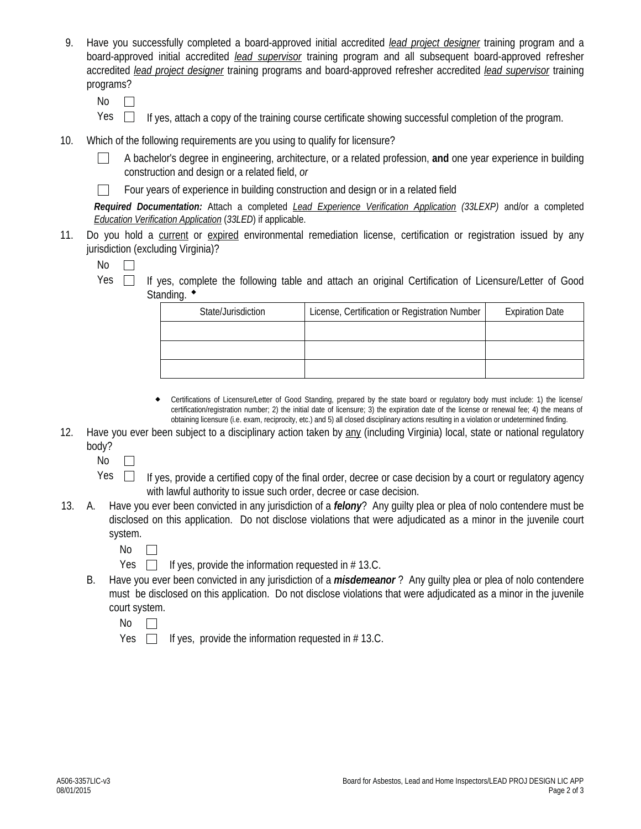- 9. Have you successfully completed a board-approved initial accredited *lead project designer* training program and a board-approved initial accredited *lead supervisor* training program and all subsequent board-approved refresher accredited *lead project designer* training programs and board-approved refresher accredited *lead supervisor* training programs?
	- No  $\Box$
	- $Yes \Box$  If yes, attach a copy of the training course certificate showing successful completion of the program.
- 10. Which of the following requirements are you using to qualify for licensure?
	- A bachelor's degree in engineering, architecture, or a related profession, **and** one year experience in building  $\perp$ construction and design or a related field, *or*
	- Four years of experience in building construction and design or in a related field  $\mathbf{I}$

*Required Documentation:* Attach a completed *Lead Experience Verification Application (33LEXP)* and/or a completed *Education Verification Application* (*33LED*) if applicable.

11. Do you hold a current or expired environmental remediation license, certification or registration issued by any jurisdiction (excluding Virginia)?

No  $\overline{\phantom{a}}$ 

Yes  $\Box$  If yes, complete the following table and attach an original Certification of Licensure/Letter of Good Standing.  $\bullet$ 

| State/Jurisdiction | License, Certification or Registration Number | <b>Expiration Date</b> |
|--------------------|-----------------------------------------------|------------------------|
|                    |                                               |                        |
|                    |                                               |                        |
|                    |                                               |                        |

- Certifications of Licensure/Letter of Good Standing, prepared by the state board or regulatory body must include: 1) the license/ certification/registration number; 2) the initial date of licensure; 3) the expiration date of the license or renewal fee; 4) the means of obtaining licensure (i.e. exam, reciprocity, etc.) and 5) all closed disciplinary actions resulting in a violation or undetermined finding.  $\bullet$
- 12. Have you ever been subject to a disciplinary action taken by any (including Virginia) local, state or national regulatory body?

No  $\Box$ 

 $Yes \Box$  If yes, provide a certified copy of the final order, decree or case decision by a court or regulatory agency with lawful authority to issue such order, decree or case decision.

- 13. A. Have you ever been convicted in any jurisdiction of a *felony*? Any guilty plea or plea of nolo contendere must be disclosed on this application. Do not disclose violations that were adjudicated as a minor in the juvenile court system.
	- No  $\perp$
	- Yes  $\Box$  If yes, provide the information requested in # 13.C.
	- B. Have you ever been convicted in any jurisdiction of a *misdemeanor* ? Any guilty plea or plea of nolo contendere must be disclosed on this application. Do not disclose violations that were adjudicated as a minor in the juvenile court system.

No  $\Box$ 

Yes  $\Box$  If yes, provide the information requested in # 13.C.